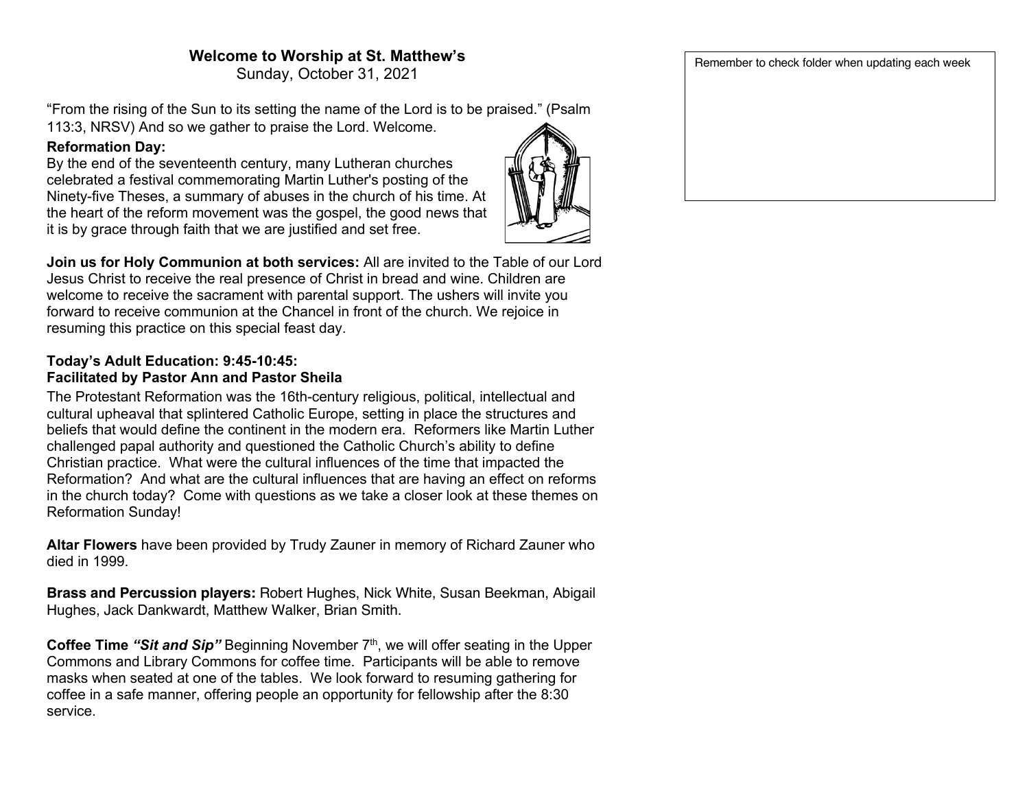# **Welcome to Worship at St. Matthew's**

Sunday, October 31, 2021

"From the rising of the Sun to its setting the name of the Lord is to be praised." (Psalm 113:3, NRSV) And so we gather to praise the Lord. Welcome.

# **Reformation Day:**

By the end of the seventeenth century, many Lutheran churches celebrated a festival commemorating Martin Luther's posting of the Ninety-five Theses, a summary of abuses in the church of his time. At the heart of the reform movement was the gospel, the good news that it is by grace through faith that we are justified and set free.



**Join us for Holy Communion at both services:** All are invited to the Table of our Lord Jesus Christ to receive the real presence of Christ in bread and wine. Children are welcome to receive the sacrament with parental support. The ushers will invite you forward to receive communion at the Chancel in front of the church. We rejoice in resuming this practice on this special feast day.

### **Today's Adult Education: 9:45-10:45: Facilitated by Pastor Ann and Pastor Sheila**

The Protestant Reformation was the 16th-century religious, political, intellectual and cultural upheaval that splintered Catholic Europe, setting in place the structures and beliefs that would define the continent in the modern era. Reformers like Martin Luther challenged papal authority and questioned the Catholic Church's ability to define Christian practice. What were the cultural influences of the time that impacted the Reformation? And what are the cultural influences that are having an effect on reforms in the church today? Come with questions as we take a closer look at these themes on Reformation Sunday!

**Altar Flowers** have been provided by Trudy Zauner in memory of Richard Zauner who died in 1999.

**Brass and Percussion players:** Robert Hughes, Nick White, Susan Beekman, Abigail Hughes, Jack Dankwardt, Matthew Walker, Brian Smith.

**Coffee Time** *"Sit and Sip"* Beginning November 7<sup>th</sup>, we will offer seating in the Upper Commons and Library Commons for coffee time. Participants will be able to remove masks when seated at one of the tables. We look forward to resuming gathering for coffee in a safe manner, offering people an opportunity for fellowship after the 8:30 service.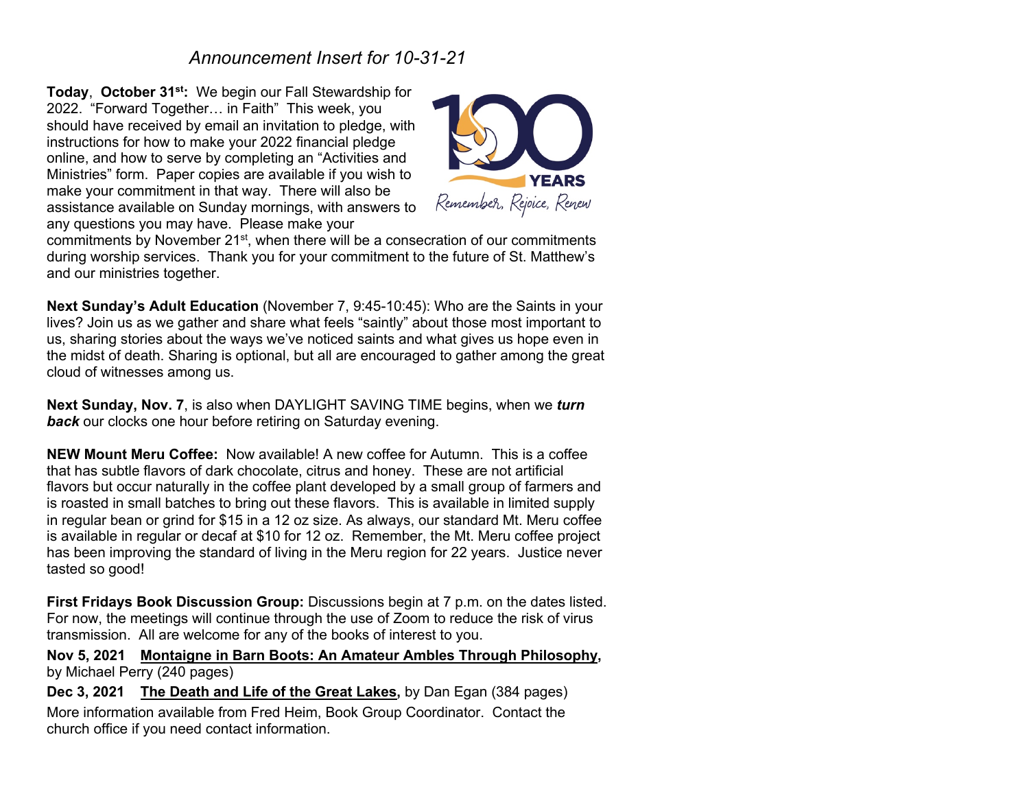# *Announcement Insert for 10-31-21*

**Today**, **October 31st:** We begin our Fall Stewardship for 2022. "Forward Together… in Faith" This week, you should have received by email an invitation to pledge, with instructions for how to make your 2022 financial pledge online, and how to serve by completing an "Activities and Ministries" form. Paper copies are available if you wish to make your commitment in that way. There will also be assistance available on Sunday mornings, with answers to any questions you may have. Please make your



commitments by November 21<sup>st</sup>, when there will be a consecration of our commitments during worship services. Thank you for your commitment to the future of St. Matthew's and our ministries together.

**Next Sunday's Adult Education** (November 7, 9:45-10:45): Who are the Saints in your lives? Join us as we gather and share what feels "saintly" about those most important to us, sharing stories about the ways we've noticed saints and what gives us hope even in the midst of death. Sharing is optional, but all are encouraged to gather among the great cloud of witnesses among us.

**Next Sunday, Nov. 7**, is also when DAYLIGHT SAVING TIME begins, when we *turn*  **back** our clocks one hour before retiring on Saturday evening.

**NEW Mount Meru Coffee:** Now available! A new coffee for Autumn. This is a coffee that has subtle flavors of dark chocolate, citrus and honey. These are not artificial flavors but occur naturally in the coffee plant developed by a small group of farmers and is roasted in small batches to bring out these flavors. This is available in limited supply in regular bean or grind for \$15 in a 12 oz size. As always, our standard Mt. Meru coffee is available in regular or decaf at \$10 for 12 oz. Remember, the Mt. Meru coffee project has been improving the standard of living in the Meru region for 22 years. Justice never tasted so good!

**First Fridays Book Discussion Group:** Discussions begin at 7 p.m. on the dates listed. For now, the meetings will continue through the use of Zoom to reduce the risk of virus transmission. All are welcome for any of the books of interest to you.

**Nov 5, 2021 Montaigne in Barn Boots: An Amateur Ambles Through Philosophy,**  by Michael Perry (240 pages)

**Dec 3, 2021 The Death and Life of the Great Lakes,** by Dan Egan (384 pages) More information available from Fred Heim, Book Group Coordinator. Contact the church office if you need contact information.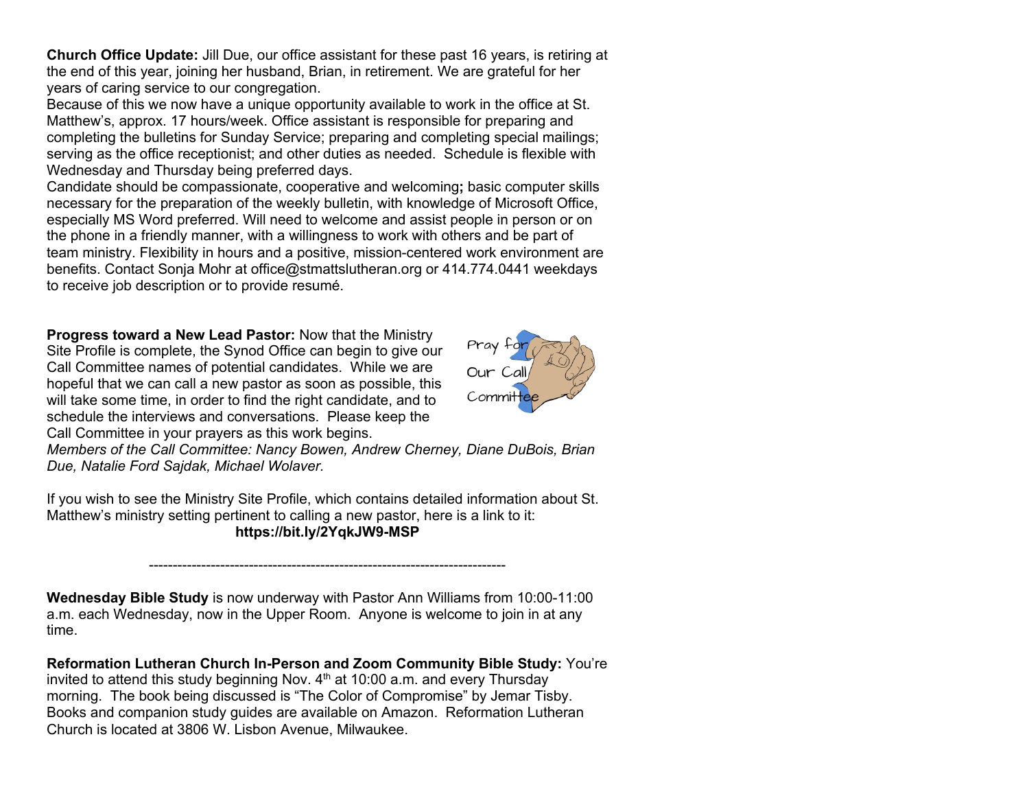**Church Office Update:** Jill Due, our office assistant for these past 16 years, is retiring at the end of this year, joining her husband, Brian, in retirement. We are grateful for her years of caring service to our congregation.

Because of this we now have a unique opportunity available to work in the office at St. Matthew's, approx. 17 hours/week. Office assistant is responsible for preparing and completing the bulletins for Sunday Service; preparing and completing special mailings; serving as the office receptionist; and other duties as needed. Schedule is flexible with Wednesday and Thursday being preferred days.

Candidate should be compassionate, cooperative and welcoming**;** basic computer skills necessary for the preparation of the weekly bulletin, with knowledge of Microsoft Office, especially MS Word preferred. Will need to welcome and assist people in person or on the phone in a friendly manner, with a willingness to work with others and be part of team ministry. Flexibility in hours and a positive, mission-centered work environment are benefits. Contact Sonja Mohr at office@stmattslutheran.org or 414.774.0441 weekdays to receive job description or to provide resumé.

**Progress toward a New Lead Pastor:** Now that the Ministry Site Profile is complete, the Synod Office can begin to give our Call Committee names of potential candidates. While we are hopeful that we can call a new pastor as soon as possible, this will take some time, in order to find the right candidate, and to schedule the interviews and conversations. Please keep the Call Committee in your prayers as this work begins.



*Members of the Call Committee: Nancy Bowen, Andrew Cherney, Diane DuBois, Brian Due, Natalie Ford Sajdak, Michael Wolaver.*

If you wish to see the Ministry Site Profile, which contains detailed information about St. Matthew's ministry setting pertinent to calling a new pastor, here is a link to it: **https://bit.ly/2YqkJW9-MSP**

---------------------------------------------------------------------------

**Wednesday Bible Study** is now underway with Pastor Ann Williams from 10:00-11:00 a.m. each Wednesday, now in the Upper Room. Anyone is welcome to join in at any time.

**Reformation Lutheran Church In-Person and Zoom Community Bible Study:** You're invited to attend this study beginning Nov.  $4<sup>th</sup>$  at 10:00 a.m. and every Thursday morning. The book being discussed is "The Color of Compromise" by Jemar Tisby. Books and companion study guides are available on Amazon. Reformation Lutheran Church is located at 3806 W. Lisbon Avenue, Milwaukee.